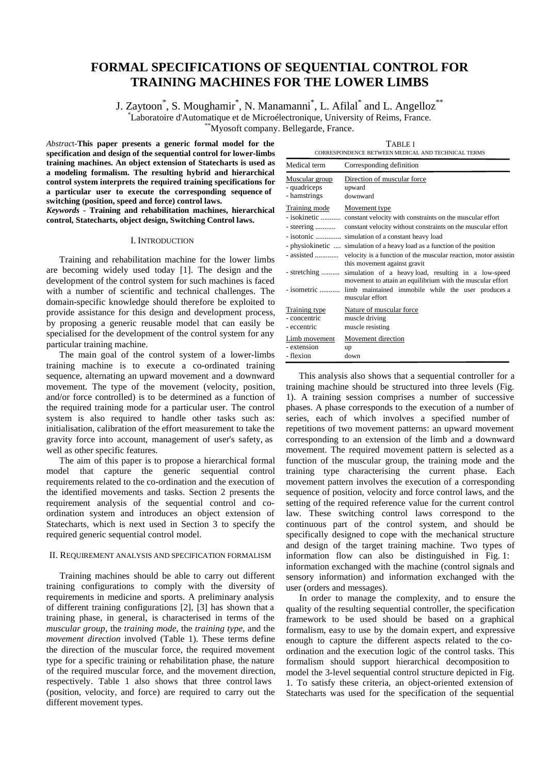# **FORMAL SPECIFICATIONS OF SEQUENTIAL CONTROL FOR TRAINING MACHINES FOR THE LOWER LIMBS**

J. Zaytoon<sup>\*</sup>, S. Moughamir<sup>\*</sup>, N. Manamanni<sup>\*</sup>, L. Afilal<sup>\*</sup> and L. Angelloz<sup>\*\*</sup> \* Laboratoire d'Automatique et de Microélectronique, University of Reims, France. \*\*Myosoft company. Bellegarde, France.

*Abstrac*t-**This paper presents a generic formal model for the specification and design of the sequential control for lower-limbs training machines. An object extension of Statecharts is used as a modeling formalism. The resulting hybrid and hierarchical control system interprets the required training specifications for a particular user to execute the corresponding sequence of switching (position, speed and force) control laws.**

*Keywords -* **Training and rehabilitation machines, hierarchical control, Statecharts, object design, Switching Control laws.**

# I. INTRODUCTION

Training and rehabilitation machine for the lower limbs are becoming widely used today [1]. The design and the development of the control system for such machines is faced with a number of scientific and technical challenges. The domain-specific knowledge should therefore be exploited to provide assistance for this design and development process, by proposing a generic reusable model that can easily be specialised for the development of the control system for any particular training machine.

The main goal of the control system of a lower-limbs training machine is to execute a co-ordinated training sequence, alternating an upward movement and a downward movement. The type of the movement (velocity, position, and/or force controlled) is to be determined as a function of the required training mode for a particular user. The control system is also required to handle other tasks such as: initialisation, calibration of the effort measurement to take the gravity force into account, management of user's safety, as well as other specific features.

The aim of this paper is to propose a hierarchical formal model that capture the generic sequential control requirements related to the co-ordination and the execution of the identified movements and tasks. Section 2 presents the requirement analysis of the sequential control and coordination system and introduces an object extension of Statecharts, which is next used in Section 3 to specify the required generic sequential control model.

# II. REQUIREMENT ANALYSIS AND SPECIFICATION FORMALISM

Training machines should be able to carry out different training configurations to comply with the diversity of requirements in medicine and sports. A preliminary analysis of different training configurations [2], [3] has shown that a training phase, in general, is characterised in terms of the *muscular group*, the *training mode*, the *training type*, and the *movement direction* involved (Table 1). These terms define the direction of the muscular force, the required movement type for a specific training or rehabilitation phase, the nature of the required muscular force, and the movement direction, respectively. Table 1 also shows that three control laws (position, velocity, and force) are required to carry out the different movement types.

| <b>TABLE I</b>                                     |
|----------------------------------------------------|
| CORRESPONDENCE BETWEEN MEDICAL AND TECHNICAL TERMS |

| Medical term                                                          | Corresponding definition                                                                                                                                                                                                                                                                                                                                                                                                                                                                             |  |  |  |
|-----------------------------------------------------------------------|------------------------------------------------------------------------------------------------------------------------------------------------------------------------------------------------------------------------------------------------------------------------------------------------------------------------------------------------------------------------------------------------------------------------------------------------------------------------------------------------------|--|--|--|
| Muscular group<br>- quadriceps<br>- hamstrings                        | Direction of muscular force<br>upward<br>downward                                                                                                                                                                                                                                                                                                                                                                                                                                                    |  |  |  |
| Training mode<br>- steering<br>- isotonic<br>assisted<br>- stretching | Movement type<br>- isokinetic  constant velocity with constraints on the muscular effort<br>constant velocity without constraints on the muscular effort<br>simulation of a constant heavy load<br>- physiokinetic  simulation of a heavy load as a function of the position<br>velocity is a function of the muscular reaction, motor assistin<br>this movement against gravit<br>simulation of a heavyload, resulting in a low-speed<br>movement to attain an equilibrium with the muscular effort |  |  |  |
|                                                                       | - isometric  limb maintained immobile while the user produces a<br>muscular effort                                                                                                                                                                                                                                                                                                                                                                                                                   |  |  |  |
| Training type<br>- concentric<br>- eccentric                          | Nature of muscular force<br>muscle driving<br>muscle resisting                                                                                                                                                                                                                                                                                                                                                                                                                                       |  |  |  |
| Limb movement<br>- extension<br>- flexion                             | Movement direction<br>up<br>down                                                                                                                                                                                                                                                                                                                                                                                                                                                                     |  |  |  |

This analysis also shows that a sequential controller for a training machine should be structured into three levels (Fig. 1). A training session comprises a number of successive phases. A phase corresponds to the execution of a number of series, each of which involves a specified number of repetitions of two movement patterns: an upward movement corresponding to an extension of the limb and a downward movement. The required movement pattern is selected as a function of the muscular group, the training mode and the training type characterising the current phase. Each movement pattern involves the execution of a corresponding sequence of position, velocity and force control laws, and the setting of the required reference value for the current control law. These switching control laws correspond to the continuous part of the control system, and should be specifically designed to cope with the mechanical structure and design of the target training machine. Two types of information flow can also be distinguished in Fig. 1: information exchanged with the machine (control signals and sensory information) and information exchanged with the user (orders and messages).

In order to manage the complexity, and to ensure the quality of the resulting sequential controller, the specification framework to be used should be based on a graphical formalism, easy to use by the domain expert, and expressive enough to capture the different aspects related to the coordination and the execution logic of the control tasks. This formalism should support hierarchical decomposition to model the 3-level sequential control structure depicted in Fig. 1. To satisfy these criteria, an object-oriented extension of Statecharts was used for the specification of the sequential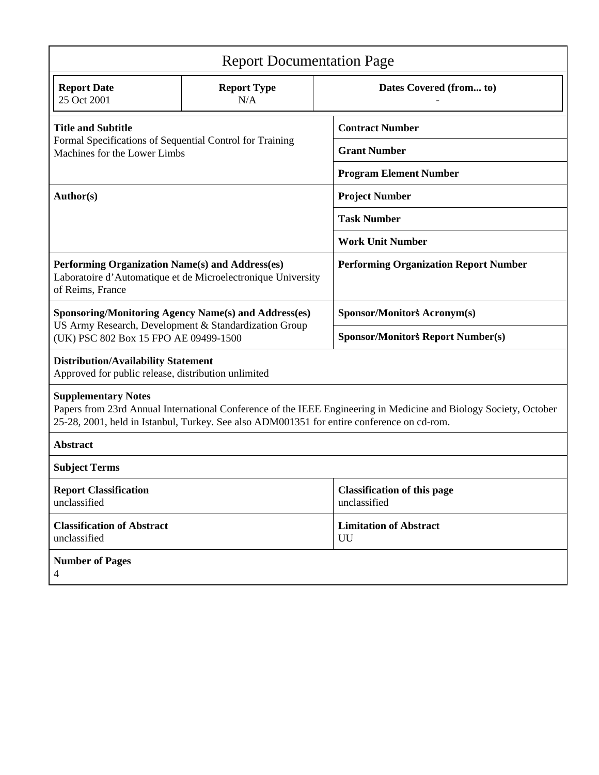| <b>Report Documentation Page</b>                                                                                                                              |                           |                                                                                                                                                                                                                 |  |
|---------------------------------------------------------------------------------------------------------------------------------------------------------------|---------------------------|-----------------------------------------------------------------------------------------------------------------------------------------------------------------------------------------------------------------|--|
| <b>Report Date</b><br>25 Oct 2001                                                                                                                             | <b>Report Type</b><br>N/A | Dates Covered (from to)                                                                                                                                                                                         |  |
| <b>Title and Subtitle</b><br>Formal Specifications of Sequential Control for Training<br>Machines for the Lower Limbs                                         |                           | <b>Contract Number</b>                                                                                                                                                                                          |  |
|                                                                                                                                                               |                           | <b>Grant Number</b>                                                                                                                                                                                             |  |
|                                                                                                                                                               |                           | <b>Program Element Number</b>                                                                                                                                                                                   |  |
| Author(s)                                                                                                                                                     |                           | <b>Project Number</b>                                                                                                                                                                                           |  |
|                                                                                                                                                               |                           | <b>Task Number</b>                                                                                                                                                                                              |  |
|                                                                                                                                                               |                           | <b>Work Unit Number</b>                                                                                                                                                                                         |  |
| Performing Organization Name(s) and Address(es)<br>Laboratoire d'Automatique et de Microelectronique University<br>of Reims, France                           |                           | <b>Performing Organization Report Number</b>                                                                                                                                                                    |  |
| <b>Sponsoring/Monitoring Agency Name(s) and Address(es)</b><br>US Army Research, Development & Standardization Group<br>(UK) PSC 802 Box 15 FPO AE 09499-1500 |                           | Sponsor/Monitor's Acronym(s)                                                                                                                                                                                    |  |
|                                                                                                                                                               |                           | <b>Sponsor/Monitor's Report Number(s)</b>                                                                                                                                                                       |  |
| <b>Distribution/Availability Statement</b><br>Approved for public release, distribution unlimited                                                             |                           |                                                                                                                                                                                                                 |  |
| <b>Supplementary Notes</b>                                                                                                                                    |                           | Papers from 23rd Annual International Conference of the IEEE Engineering in Medicine and Biology Society, October<br>25-28, 2001, held in Istanbul, Turkey. See also ADM001351 for entire conference on cd-rom. |  |
| <b>Abstract</b>                                                                                                                                               |                           |                                                                                                                                                                                                                 |  |
| <b>Subject Terms</b>                                                                                                                                          |                           |                                                                                                                                                                                                                 |  |
| <b>Report Classification</b><br>unclassified                                                                                                                  |                           | <b>Classification of this page</b><br>unclassified                                                                                                                                                              |  |
| <b>Classification of Abstract</b><br>unclassified                                                                                                             |                           | <b>Limitation of Abstract</b><br>UU                                                                                                                                                                             |  |
| <b>Number of Pages</b><br>$\overline{4}$                                                                                                                      |                           |                                                                                                                                                                                                                 |  |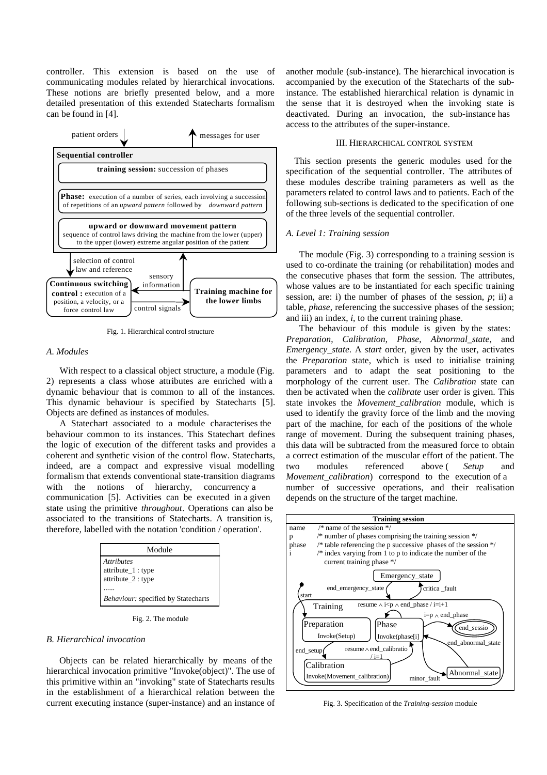controller. This extension is based on the use of communicating modules related by hierarchical invocations. These notions are briefly presented below, and a more detailed presentation of this extended Statecharts formalism can be found in [4].



Fig. 1. Hierarchical control structure

### *A. Modules*

With respect to a classical object structure, a module (Fig. 2) represents a class whose attributes are enriched with a dynamic behaviour that is common to all of the instances. This dynamic behaviour is specified by Statecharts [5]. Objects are defined as instances of modules.

A Statechart associated to a module characterises the behaviour common to its instances. This Statechart defines the logic of execution of the different tasks and provides a coherent and synthetic vision of the control flow. Statecharts, indeed, are a compact and expressive visual modelling formalism that extends conventional state-transition diagrams with the notions of hierarchy, concurrency a communication [5]. Activities can be executed in a given state using the primitive *throughout*. Operations can also be associated to the transitions of Statecharts. A transition is, therefore, labelled with the notation 'condition / operation'.

| Module                                                       |
|--------------------------------------------------------------|
| <b>Attributes</b><br>attribute_1: type<br>attribute_2 : type |
| Behaviour: specified by Statecharts                          |

Fig. 2. The module

## *B. Hierarchical invocation*

Objects can be related hierarchically by means of the hierarchical invocation primitive "Invoke(object)". The use of this primitive within an "invoking" state of Statecharts results in the establishment of a hierarchical relation between the current executing instance (super-instance) and an instance of

another module (sub-instance). The hierarchical invocation is accompanied by the execution of the Statecharts of the subinstance. The established hierarchical relation is dynamic in the sense that it is destroyed when the invoking state is deactivated. During an invocation, the sub-instance has access to the attributes of the super-instance.

#### III. HIERARCHICAL CONTROL SYSTEM

This section presents the generic modules used for the specification of the sequential controller. The attributes of these modules describe training parameters as well as the parameters related to control laws and to patients. Each of the following sub-sections is dedicated to the specification of one of the three levels of the sequential controller.

#### *A. Level 1: Training session*

The module (Fig. 3) corresponding to a training session is used to co-ordinate the training (or rehabilitation) modes and the consecutive phases that form the session. The attributes, whose values are to be instantiated for each specific training session, are: i) the number of phases of the session, *p*; ii) a table, *phase*, referencing the successive phases of the session; and iii) an index,  $i$ , to the current training phase.

The behaviour of this module is given by the states: *Preparation*, *Calibration*, *Phase*, *Abnormal\_state*, and *Emergency*\_*state*. A *start* order, given by the user, activates the *Preparation* state, which is used to initialise training parameters and to adapt the seat positioning to the morphology of the current user. The *Calibration* state can then be activated when the *calibrate* user order is given. This state invokes the *Movement\_calibration* module, which is used to identify the gravity force of the limb and the moving part of the machine, for each of the positions of the whole range of movement. During the subsequent training phases, this data will be subtracted from the measured force to obtain a correct estimation of the muscular effort of the patient. The two modules referenced above ( *Setup* and *Movement\_calibration*) correspond to the execution of a number of successive operations, and their realisation depends on the structure of the target machine.



Fig. 3. Specification of the *Training-session* module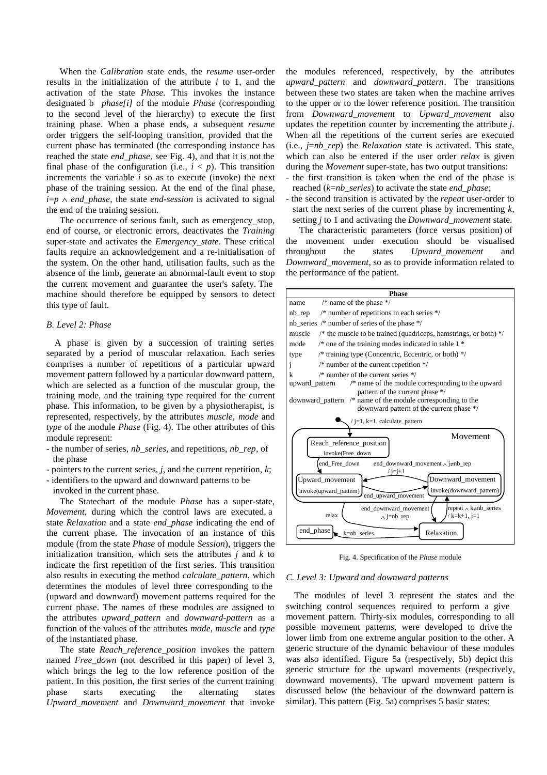When the *Calibration* state ends, the *resume* user-order results in the initialization of the attribute *i* to 1, and the activation of the state *Phase.* This invokes the instance designated b *phase[i]* of the module *Phase* (corresponding to the second level of the hierarchy) to execute the first training phase. When a phase ends, a subsequent *resume* order triggers the self-looping transition, provided that the current phase has terminated (the corresponding instance has reached the state *end\_phase*, see Fig. 4), and that it is not the final phase of the configuration (i.e.,  $i < p$ ). This transition increments the variable *i* so as to execute (invoke) the next phase of the training session. At the end of the final phase, *i*=*p* ∧ *end\_phase*, the state *end-session* is activated to signal the end of the training session.

The occurrence of serious fault, such as emergency\_stop, end of course, or electronic errors, deactivates the *Training* super-state and activates the *Emergency\_state*. These critical faults require an acknowledgement and a re-initialisation of the system. On the other hand, utilisation faults, such as the absence of the limb, generate an abnormal-fault event to stop the current movement and guarantee the user's safety. The machine should therefore be equipped by sensors to detect this type of fault.

# *B. Level 2: Phase*

A phase is given by a succession of training series separated by a period of muscular relaxation. Each series comprises a number of repetitions of a particular upward movement pattern followed by a particular downward pattern, which are selected as a function of the muscular group, the training mode, and the training type required for the current phase. This information, to be given by a physiotherapist, is represented, respectively, by the attributes *muscle*, *mode* and *type* of the module *Phase* (Fig. 4). The other attributes of this module represent:

- the number of series, *nb\_series*, and repetitions, *nb\_rep*, of the phase
- pointers to the current series, *j*, and the current repetition, *k*;
- identifiers to the upward and downward patterns to be

invoked in the current phase.

The Statechart of the module *Phase* has a super-state, *Movement*, during which the control laws are executed, a state *Relaxation* and a state *end\_phase* indicating the end of the current phase. The invocation of an instance of this module (from the state *Phase* of module *Session*), triggers the initialization transition, which sets the attributes *j* and *k* to indicate the first repetition of the first series. This transition also results in executing the method *calculate\_pattern*, which determines the modules of level three corresponding to the (upward and downward) movement patterns required for the current phase. The names of these modules are assigned to the attributes *upward\_pattern* and *downward-pattern* as a function of the values of the attributes *mode*, *muscle* and *type* of the instantiated phase.

The state *Reach\_reference\_position* invokes the pattern named *Free\_down* (not described in this paper) of level 3, which brings the leg to the low reference position of the patient. In this position, the first series of the current training phase starts executing the alternating states *Upward\_movement* and *Downward\_movement* that invoke

the modules referenced, respectively, by the attributes *upward\_pattern* and *downward\_pattern*. The transitions between these two states are taken when the machine arrives to the upper or to the lower reference position. The transition from *Downward\_movement* to *Upward\_movement* also updates the repetition counter by incrementing the attribute *j*. When all the repetitions of the current series are executed (i.e., *j*=*nb\_rep*) the *Relaxation* state is activated. This state, which can also be entered if the user order *relax* is given during the *Movement* super-state, has two output transitions:

- the first transition is taken when the end of the phase is reached (*k*=*nb\_series*) to activate the state *end\_phase*;
- the second transition is activated by the *repeat* user-order to start the next series of the current phase by incrementing *k*, setting *j* to 1 and activating the *Downward\_movement* state.

The characteristic parameters (force versus position) of the movement under execution should be visualised throughout the states *Upward\_movement* and *Downward\_movement*, so as to provide information related to the performance of the patient.



Fig. 4. Specification of the *Phase* module

# *C. Level 3: Upward and downward patterns*

The modules of level 3 represent the states and the switching control sequences required to perform a give movement pattern. Thirty-six modules, corresponding to all possible movement patterns, were developed to drive the lower limb from one extreme angular position to the other. A generic structure of the dynamic behaviour of these modules was also identified. Figure 5a (respectively, 5b) depict this generic structure for the upward movements (respectively, downward movements). The upward movement pattern is discussed below (the behaviour of the downward pattern is similar). This pattern (Fig. 5a) comprises 5 basic states: